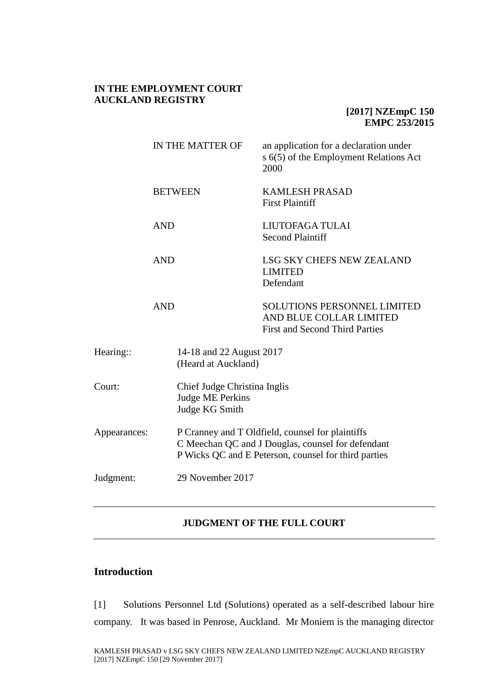### **IN THE EMPLOYMENT COURT AUCKLAND REGISTRY**

## **[2017] NZEmpC 150 EMPC 253/2015**

|                               |                                                 | IN THE MATTER OF                                                          | an application for a declaration under<br>s 6(5) of the Employment Relations Act<br>2000                                                                      |
|-------------------------------|-------------------------------------------------|---------------------------------------------------------------------------|---------------------------------------------------------------------------------------------------------------------------------------------------------------|
|                               | <b>BETWEEN</b><br><b>AND</b><br><b>AND</b>      |                                                                           | <b>KAMLESH PRASAD</b><br><b>First Plaintiff</b>                                                                                                               |
|                               |                                                 |                                                                           | LIUTOFAGA TULAI<br><b>Second Plaintiff</b>                                                                                                                    |
|                               |                                                 |                                                                           | LSG SKY CHEFS NEW ZEALAND<br><b>LIMITED</b><br>Defendant                                                                                                      |
|                               | <b>AND</b>                                      |                                                                           | <b>SOLUTIONS PERSONNEL LIMITED</b><br>AND BLUE COLLAR LIMITED<br><b>First and Second Third Parties</b>                                                        |
| Hearing::                     | 14-18 and 22 August 2017<br>(Heard at Auckland) |                                                                           |                                                                                                                                                               |
| Court:                        |                                                 | Chief Judge Christina Inglis<br><b>Judge ME Perkins</b><br>Judge KG Smith |                                                                                                                                                               |
| Appearances:                  |                                                 |                                                                           | P Cranney and T Oldfield, counsel for plaintiffs<br>C Meechan QC and J Douglas, counsel for defendant<br>P Wicks QC and E Peterson, counsel for third parties |
| 29 November 2017<br>Judgment: |                                                 |                                                                           |                                                                                                                                                               |

## **JUDGMENT OF THE FULL COURT**

# **Introduction**

[1] Solutions Personnel Ltd (Solutions) operated as a self-described labour hire company. It was based in Penrose, Auckland. Mr Moniem is the managing director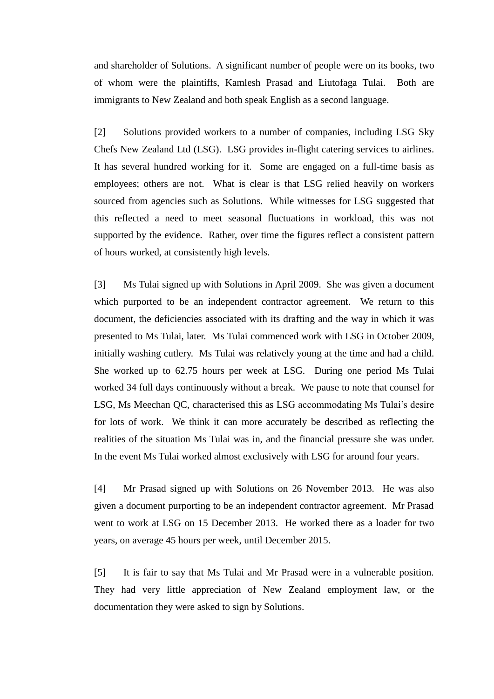and shareholder of Solutions. A significant number of people were on its books, two of whom were the plaintiffs, Kamlesh Prasad and Liutofaga Tulai. Both are immigrants to New Zealand and both speak English as a second language.

[2] Solutions provided workers to a number of companies, including LSG Sky Chefs New Zealand Ltd (LSG). LSG provides in-flight catering services to airlines. It has several hundred working for it. Some are engaged on a full-time basis as employees; others are not. What is clear is that LSG relied heavily on workers sourced from agencies such as Solutions. While witnesses for LSG suggested that this reflected a need to meet seasonal fluctuations in workload, this was not supported by the evidence. Rather, over time the figures reflect a consistent pattern of hours worked, at consistently high levels.

[3] Ms Tulai signed up with Solutions in April 2009. She was given a document which purported to be an independent contractor agreement. We return to this document, the deficiencies associated with its drafting and the way in which it was presented to Ms Tulai, later. Ms Tulai commenced work with LSG in October 2009, initially washing cutlery. Ms Tulai was relatively young at the time and had a child. She worked up to 62.75 hours per week at LSG. During one period Ms Tulai worked 34 full days continuously without a break. We pause to note that counsel for LSG, Ms Meechan QC, characterised this as LSG accommodating Ms Tulai's desire for lots of work. We think it can more accurately be described as reflecting the realities of the situation Ms Tulai was in, and the financial pressure she was under. In the event Ms Tulai worked almost exclusively with LSG for around four years.

[4] Mr Prasad signed up with Solutions on 26 November 2013. He was also given a document purporting to be an independent contractor agreement. Mr Prasad went to work at LSG on 15 December 2013. He worked there as a loader for two years, on average 45 hours per week, until December 2015.

[5] It is fair to say that Ms Tulai and Mr Prasad were in a vulnerable position. They had very little appreciation of New Zealand employment law, or the documentation they were asked to sign by Solutions.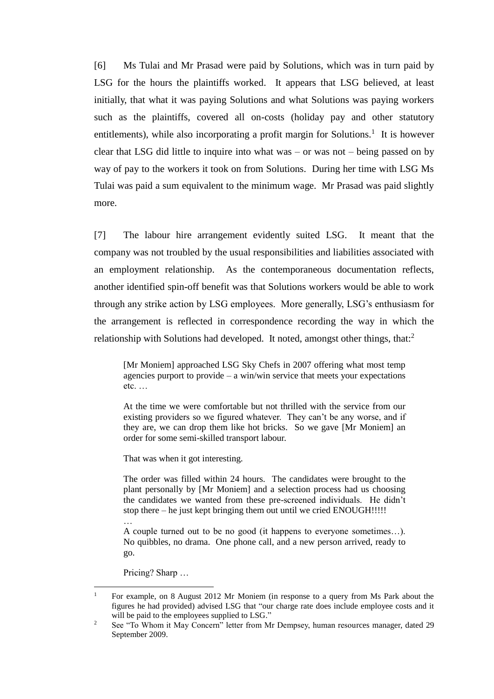[6] Ms Tulai and Mr Prasad were paid by Solutions, which was in turn paid by LSG for the hours the plaintiffs worked. It appears that LSG believed, at least initially, that what it was paying Solutions and what Solutions was paying workers such as the plaintiffs, covered all on-costs (holiday pay and other statutory entitlements), while also incorporating a profit margin for Solutions.<sup>1</sup> It is however clear that LSG did little to inquire into what was – or was not – being passed on by way of pay to the workers it took on from Solutions. During her time with LSG Ms Tulai was paid a sum equivalent to the minimum wage. Mr Prasad was paid slightly more.

[7] The labour hire arrangement evidently suited LSG. It meant that the company was not troubled by the usual responsibilities and liabilities associated with an employment relationship. As the contemporaneous documentation reflects, another identified spin-off benefit was that Solutions workers would be able to work through any strike action by LSG employees. More generally, LSG's enthusiasm for the arrangement is reflected in correspondence recording the way in which the relationship with Solutions had developed. It noted, amongst other things, that:<sup>2</sup>

[Mr Moniem] approached LSG Sky Chefs in 2007 offering what most temp agencies purport to provide – a win/win service that meets your expectations etc. …

At the time we were comfortable but not thrilled with the service from our existing providers so we figured whatever. They can't be any worse, and if they are, we can drop them like hot bricks. So we gave [Mr Moniem] an order for some semi-skilled transport labour.

That was when it got interesting.

The order was filled within 24 hours. The candidates were brought to the plant personally by [Mr Moniem] and a selection process had us choosing the candidates we wanted from these pre-screened individuals. He didn't stop there – he just kept bringing them out until we cried ENOUGH!!!!!

A couple turned out to be no good (it happens to everyone sometimes…). No quibbles, no drama. One phone call, and a new person arrived, ready to go.

Pricing? Sharp …

…

 $\overline{a}$ 

<sup>1</sup> For example, on 8 August 2012 Mr Moniem (in response to a query from Ms Park about the figures he had provided) advised LSG that "our charge rate does include employee costs and it will be paid to the employees supplied to LSG."

<sup>&</sup>lt;sup>2</sup> See "To Whom it May Concern" letter from Mr Dempsey, human resources manager, dated 29 September 2009.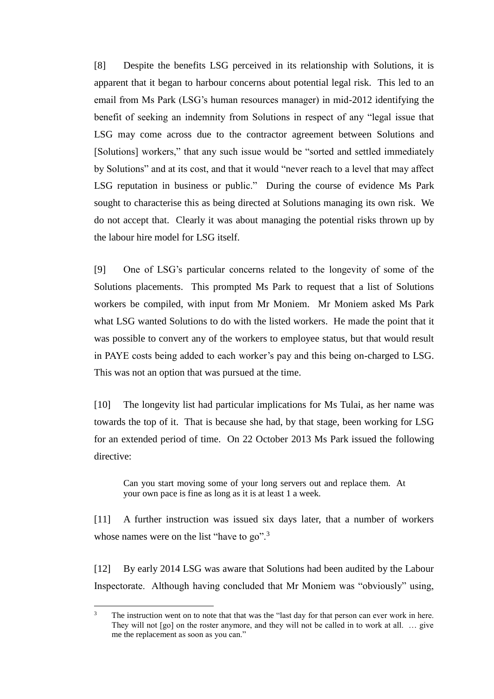[8] Despite the benefits LSG perceived in its relationship with Solutions, it is apparent that it began to harbour concerns about potential legal risk. This led to an email from Ms Park (LSG's human resources manager) in mid-2012 identifying the benefit of seeking an indemnity from Solutions in respect of any "legal issue that LSG may come across due to the contractor agreement between Solutions and [Solutions] workers," that any such issue would be "sorted and settled immediately by Solutions" and at its cost, and that it would "never reach to a level that may affect LSG reputation in business or public."During the course of evidence Ms Park sought to characterise this as being directed at Solutions managing its own risk. We do not accept that. Clearly it was about managing the potential risks thrown up by the labour hire model for LSG itself.

[9] One of LSG's particular concerns related to the longevity of some of the Solutions placements. This prompted Ms Park to request that a list of Solutions workers be compiled, with input from Mr Moniem.Mr Moniem asked Ms Park what LSG wanted Solutions to do with the listed workers. He made the point that it was possible to convert any of the workers to employee status, but that would result in PAYE costs being added to each worker's pay and this being on-charged to LSG. This was not an option that was pursued at the time.

[10] The longevity list had particular implications for Ms Tulai, as her name was towards the top of it. That is because she had, by that stage, been working for LSG for an extended period of time. On 22 October 2013 Ms Park issued the following directive:

Can you start moving some of your long servers out and replace them. At your own pace is fine as long as it is at least 1 a week.

[11] A further instruction was issued six days later, that a number of workers whose names were on the list "have to go".<sup>3</sup>

[12] By early 2014 LSG was aware that Solutions had been audited by the Labour Inspectorate. Although having concluded that Mr Moniem was "obviously" using,

 $\overline{a}$ 

<sup>&</sup>lt;sup>3</sup> The instruction went on to note that that was the "last day for that person can ever work in here. They will not [go] on the roster anymore, and they will not be called in to work at all. … give me the replacement as soon as you can."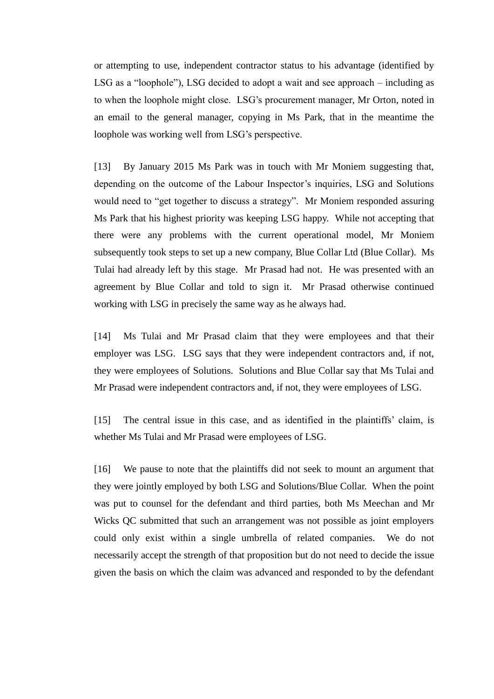or attempting to use, independent contractor status to his advantage (identified by LSG as a "loophole"), LSG decided to adopt a wait and see approach – including as to when the loophole might close. LSG's procurement manager, Mr Orton, noted in an email to the general manager, copying in Ms Park, that in the meantime the loophole was working well from LSG's perspective.

[13] By January 2015 Ms Park was in touch with Mr Moniem suggesting that, depending on the outcome of the Labour Inspector's inquiries, LSG and Solutions would need to "get together to discuss a strategy".Mr Moniem responded assuring Ms Park that his highest priority was keeping LSG happy.While not accepting that there were any problems with the current operational model, Mr Moniem subsequently took steps to set up a new company, Blue Collar Ltd (Blue Collar). Ms Tulai had already left by this stage. Mr Prasad had not. He was presented with an agreement by Blue Collar and told to sign it. Mr Prasad otherwise continued working with LSG in precisely the same way as he always had.

[14] Ms Tulai and Mr Prasad claim that they were employees and that their employer was LSG. LSG says that they were independent contractors and, if not, they were employees of Solutions. Solutions and Blue Collar say that Ms Tulai and Mr Prasad were independent contractors and, if not, they were employees of LSG.

[15] The central issue in this case, and as identified in the plaintiffs' claim, is whether Ms Tulai and Mr Prasad were employees of LSG.

[16] We pause to note that the plaintiffs did not seek to mount an argument that they were jointly employed by both LSG and Solutions/Blue Collar. When the point was put to counsel for the defendant and third parties, both Ms Meechan and Mr Wicks QC submitted that such an arrangement was not possible as joint employers could only exist within a single umbrella of related companies. We do not necessarily accept the strength of that proposition but do not need to decide the issue given the basis on which the claim was advanced and responded to by the defendant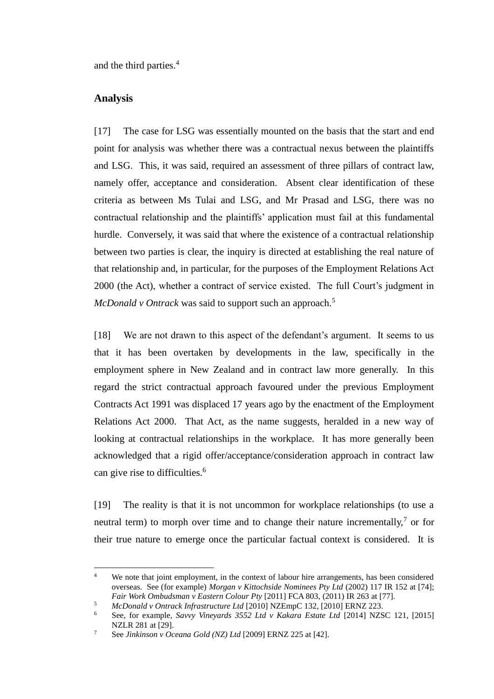and the third parties. 4

### **Analysis**

[17] The case for LSG was essentially mounted on the basis that the start and end point for analysis was whether there was a contractual nexus between the plaintiffs and LSG. This, it was said, required an assessment of three pillars of contract law, namely offer, acceptance and consideration. Absent clear identification of these criteria as between Ms Tulai and LSG, and Mr Prasad and LSG, there was no contractual relationship and the plaintiffs' application must fail at this fundamental hurdle. Conversely, it was said that where the existence of a contractual relationship between two parties is clear, the inquiry is directed at establishing the real nature of that relationship and, in particular, for the purposes of the Employment Relations Act 2000 (the Act), whether a contract of service existed. The full Court's judgment in *McDonald v Ontrack* was said to support such an approach.<sup>5</sup>

[18] We are not drawn to this aspect of the defendant's argument. It seems to us that it has been overtaken by developments in the law, specifically in the employment sphere in New Zealand and in contract law more generally. In this regard the strict contractual approach favoured under the previous Employment Contracts Act 1991 was displaced 17 years ago by the enactment of the Employment Relations Act 2000. That Act, as the name suggests, heralded in a new way of looking at contractual relationships in the workplace. It has more generally been acknowledged that a rigid offer/acceptance/consideration approach in contract law can give rise to difficulties.<sup>6</sup>

[19] The reality is that it is not uncommon for workplace relationships (to use a neutral term) to morph over time and to change their nature incrementally,<sup>7</sup> or for their true nature to emerge once the particular factual context is considered. It is

 $\overline{A}$ We note that joint employment, in the context of labour hire arrangements, has been considered overseas. See (for example) *Morgan v Kittochside Nominees Pty Ltd* (2002) 117 IR 152 at [74]; *Fair Work Ombudsman v Eastern Colour Pty* [2011] FCA 803, (2011) IR 263 at [77].

<sup>5</sup> *McDonald v Ontrack Infrastructure Ltd* [2010] NZEmpC 132, [2010] ERNZ 223.

<sup>6</sup> See, for example, *Savvy Vineyards 3552 Ltd v Kakara Estate Ltd* [2014] NZSC 121, [2015] NZLR 281 at [29].

<sup>7</sup> See *Jinkinson v Oceana Gold (NZ) Ltd* [2009] ERNZ 225 at [42].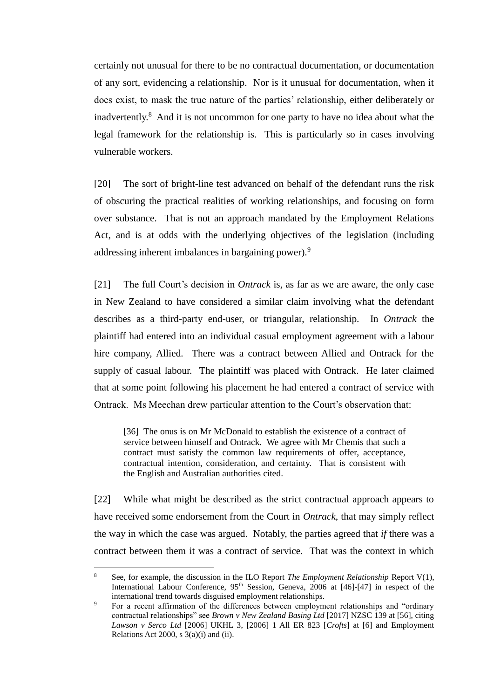certainly not unusual for there to be no contractual documentation, or documentation of any sort, evidencing a relationship. Nor is it unusual for documentation, when it does exist, to mask the true nature of the parties' relationship, either deliberately or inadvertently.<sup>8</sup> And it is not uncommon for one party to have no idea about what the legal framework for the relationship is. This is particularly so in cases involving vulnerable workers.

[20] The sort of bright-line test advanced on behalf of the defendant runs the risk of obscuring the practical realities of working relationships, and focusing on form over substance. That is not an approach mandated by the Employment Relations Act, and is at odds with the underlying objectives of the legislation (including addressing inherent imbalances in bargaining power).<sup>9</sup>

[21] The full Court's decision in *Ontrack* is, as far as we are aware, the only case in New Zealand to have considered a similar claim involving what the defendant describes as a third-party end-user, or triangular, relationship. In *Ontrack* the plaintiff had entered into an individual casual employment agreement with a labour hire company, Allied. There was a contract between Allied and Ontrack for the supply of casual labour. The plaintiff was placed with Ontrack. He later claimed that at some point following his placement he had entered a contract of service with Ontrack. Ms Meechan drew particular attention to the Court's observation that:

[36] The onus is on Mr McDonald to establish the existence of a contract of service between himself and Ontrack. We agree with Mr Chemis that such a contract must satisfy the common law requirements of offer, acceptance, contractual intention, consideration, and certainty. That is consistent with the English and Australian authorities cited.

[22] While what might be described as the strict contractual approach appears to have received some endorsement from the Court in *Ontrack*, that may simply reflect the way in which the case was argued. Notably, the parties agreed that *if* there was a contract between them it was a contract of service. That was the context in which

 $\overline{a}$ 

<sup>8</sup> See, for example, the discussion in the ILO Report *The Employment Relationship* Report V(1), International Labour Conference, 95<sup>th</sup> Session, Geneva, 2006 at [46]-[47] in respect of the international trend towards disguised employment relationships.

<sup>9</sup> For a recent affirmation of the differences between employment relationships and "ordinary contractual relationships" see *Brown v New Zealand Basing Ltd* [2017] NZSC 139 at [56], citing *Lawson v Serco Ltd* [2006] UKHL 3, [2006] 1 All ER 823 [*Crofts*] at [6] and Employment Relations Act 2000, s 3(a)(i) and (ii).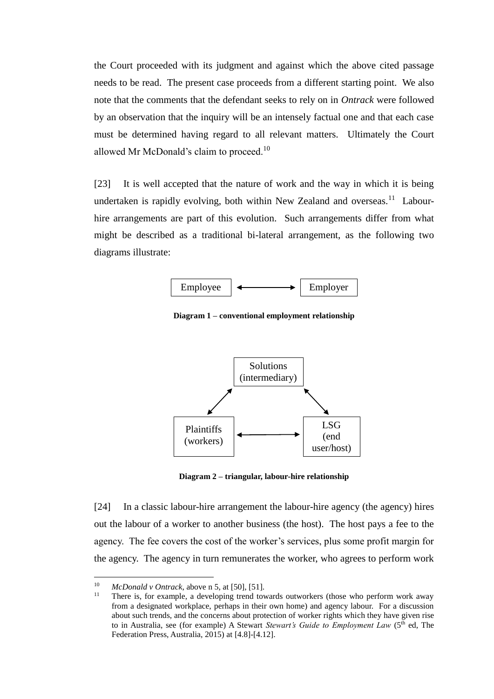the Court proceeded with its judgment and against which the above cited passage needs to be read. The present case proceeds from a different starting point. We also note that the comments that the defendant seeks to rely on in *Ontrack* were followed by an observation that the inquiry will be an intensely factual one and that each case must be determined having regard to all relevant matters. Ultimately the Court allowed Mr McDonald's claim to proceed.<sup>10</sup>

[23] It is well accepted that the nature of work and the way in which it is being undertaken is rapidly evolving, both within New Zealand and overseas.<sup>11</sup> Labourhire arrangements are part of this evolution. Such arrangements differ from what might be described as a traditional bi-lateral arrangement, as the following two diagrams illustrate:



**Diagram 1 – conventional employment relationship**



**Diagram 2 – triangular, labour-hire relationship**

[24] In a classic labour-hire arrangement the labour-hire agency (the agency) hires out the labour of a worker to another business (the host). The host pays a fee to the agency. The fee covers the cost of the worker's services, plus some profit margin for the agency. The agency in turn remunerates the worker, who agrees to perform work

 $\overline{a}$ 

<sup>&</sup>lt;sup>10</sup> *McDonald v Ontrack*, above n 5, at [50], [51].<br><sup>11</sup> There is for example a developing trend to

<sup>11</sup> There is, for example, a developing trend towards outworkers (those who perform work away from a designated workplace, perhaps in their own home) and agency labour. For a discussion about such trends, and the concerns about protection of worker rights which they have given rise to in Australia, see (for example) A Stewart *Stewart's Guide to Employment Law* (5th ed, The Federation Press, Australia, 2015) at [4.8]-[4.12].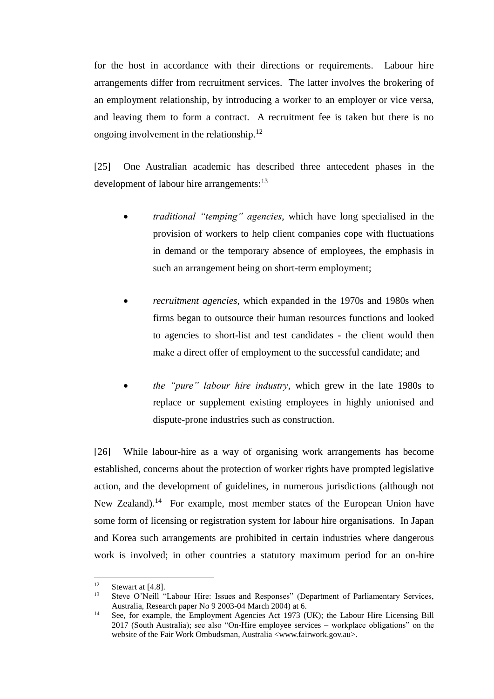for the host in accordance with their directions or requirements. Labour hire arrangements differ from recruitment services. The latter involves the brokering of an employment relationship, by introducing a worker to an employer or vice versa, and leaving them to form a contract. A recruitment fee is taken but there is no ongoing involvement in the relationship.<sup>12</sup>

[25] One Australian academic has described three antecedent phases in the development of labour hire arrangements:<sup>13</sup>

- *traditional "temping" agencies*, which have long specialised in the provision of workers to help client companies cope with fluctuations in demand or the temporary absence of employees, the emphasis in such an arrangement being on short-term employment;
- *recruitment agencies*, which expanded in the 1970s and 1980s when firms began to outsource their human resources functions and looked to agencies to short-list and test candidates - the client would then make a direct offer of employment to the successful candidate; and
- *the "pure" labour hire industry*, which grew in the late 1980s to replace or supplement existing employees in highly unionised and dispute-prone industries such as construction.

[26] While labour-hire as a way of organising work arrangements has become established, concerns about the protection of worker rights have prompted legislative action, and the development of guidelines, in numerous jurisdictions (although not New Zealand).<sup>14</sup> For example, most member states of the European Union have some form of licensing or registration system for labour hire organisations. In Japan and Korea such arrangements are prohibited in certain industries where dangerous work is involved; in other countries a statutory maximum period for an on-hire

 $12$ <sup>12</sup> Stewart at [4.8].<br><sup>13</sup> Steve O'Neill.

<sup>13</sup> Steve O'Neill "Labour Hire: Issues and Responses" (Department of Parliamentary Services, Australia, Research paper No 9 2003-04 March 2004) at 6.

<sup>&</sup>lt;sup>14</sup> See, for example, the Employment Agencies Act 1973 (UK); the Labour Hire Licensing Bill 2017 (South Australia); see also "On-Hire employee services – workplace obligations" on the website of the Fair Work Ombudsman, Australia <www.fairwork.gov.au>.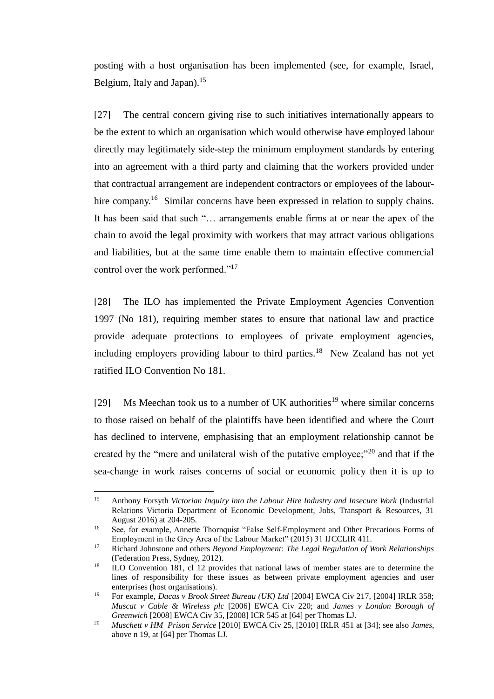posting with a host organisation has been implemented (see, for example, Israel, Belgium, Italy and Japan).<sup>15</sup>

[27] The central concern giving rise to such initiatives internationally appears to be the extent to which an organisation which would otherwise have employed labour directly may legitimately side-step the minimum employment standards by entering into an agreement with a third party and claiming that the workers provided under that contractual arrangement are independent contractors or employees of the labourhire company.<sup>16</sup> Similar concerns have been expressed in relation to supply chains. It has been said that such "… arrangements enable firms at or near the apex of the chain to avoid the legal proximity with workers that may attract various obligations and liabilities, but at the same time enable them to maintain effective commercial control over the work performed."<sup>17</sup>

[28] The ILO has implemented the Private Employment Agencies Convention 1997 (No 181), requiring member states to ensure that national law and practice provide adequate protections to employees of private employment agencies, including employers providing labour to third parties.<sup>18</sup> New Zealand has not yet ratified ILO Convention No 181.

[29] Ms Meechan took us to a number of UK authorities<sup>19</sup> where similar concerns to those raised on behalf of the plaintiffs have been identified and where the Court has declined to intervene, emphasising that an employment relationship cannot be created by the "mere and unilateral wish of the putative employee;"<sup>20</sup> and that if the sea-change in work raises concerns of social or economic policy then it is up to

 $\overline{a}$ 

<sup>15</sup> Anthony Forsyth *Victorian Inquiry into the Labour Hire Industry and Insecure Work* (Industrial Relations Victoria Department of Economic Development, Jobs, Transport & Resources, 31 August 2016) at 204-205.

<sup>&</sup>lt;sup>16</sup> See, for example, Annette Thornquist "False Self-Employment and Other Precarious Forms of Employment in the Grey Area of the Labour Market" (2015) 31 IJCCLIR 411.

<sup>17</sup> Richard Johnstone and others *Beyond Employment: The Legal Regulation of Work Relationships* (Federation Press, Sydney, 2012).

<sup>&</sup>lt;sup>18</sup> ILO Convention 181, cl 12 provides that national laws of member states are to determine the lines of responsibility for these issues as between private employment agencies and user enterprises (host organisations).

<sup>19</sup> For example, *Dacas v Brook Street Bureau (UK) Ltd* [2004] EWCA Civ 217, [2004] IRLR 358; *Muscat v Cable & Wireless plc* [2006] EWCA Civ 220; and *James v London Borough of Greenwich* [2008] EWCA Civ 35, [2008] ICR 545 at [64] per Thomas LJ.

<sup>20</sup> *Muschett v HM Prison Service* [2010] EWCA Civ 25, [2010] IRLR 451 at [34]; see also *James,*  above n 19, at [64] per Thomas LJ.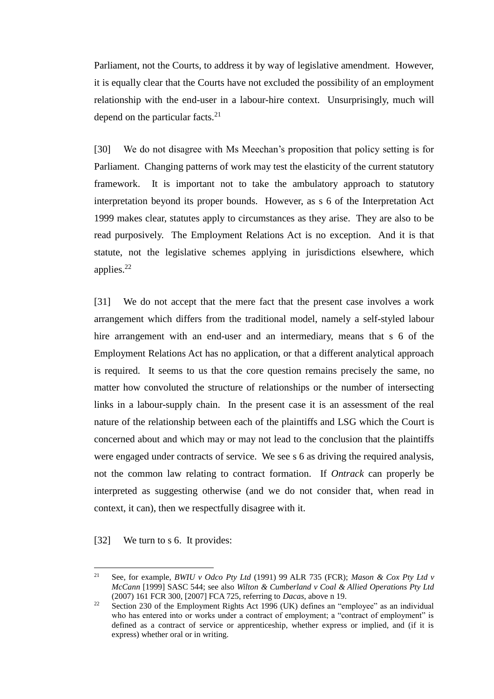Parliament, not the Courts, to address it by way of legislative amendment. However, it is equally clear that the Courts have not excluded the possibility of an employment relationship with the end-user in a labour-hire context. Unsurprisingly, much will depend on the particular facts. $21$ 

[30] We do not disagree with Ms Meechan's proposition that policy setting is for Parliament. Changing patterns of work may test the elasticity of the current statutory framework. It is important not to take the ambulatory approach to statutory interpretation beyond its proper bounds. However, as s 6 of the Interpretation Act 1999 makes clear, statutes apply to circumstances as they arise. They are also to be read purposively. The Employment Relations Act is no exception. And it is that statute, not the legislative schemes applying in jurisdictions elsewhere, which applies. $22$ 

[31] We do not accept that the mere fact that the present case involves a work arrangement which differs from the traditional model, namely a self-styled labour hire arrangement with an end-user and an intermediary, means that s 6 of the Employment Relations Act has no application, or that a different analytical approach is required. It seems to us that the core question remains precisely the same, no matter how convoluted the structure of relationships or the number of intersecting links in a labour-supply chain. In the present case it is an assessment of the real nature of the relationship between each of the plaintiffs and LSG which the Court is concerned about and which may or may not lead to the conclusion that the plaintiffs were engaged under contracts of service. We see s 6 as driving the required analysis, not the common law relating to contract formation. If *Ontrack* can properly be interpreted as suggesting otherwise (and we do not consider that, when read in context, it can), then we respectfully disagree with it.

[32] We turn to s 6. It provides:

 $21$ <sup>21</sup> See, for example, *BWIU v Odco Pty Ltd* (1991) 99 ALR 735 (FCR); *Mason & Cox Pty Ltd v McCann* [1999] SASC 544; see also *Wilton & Cumberland v Coal & Allied Operations Pty Ltd* (2007) 161 FCR 300, [2007] FCA 725, referring to *Dacas*, above n 19.

<sup>&</sup>lt;sup>22</sup> Section 230 of the Employment Rights Act 1996 (UK) defines an "employee" as an individual who has entered into or works under a contract of employment; a "contract of employment" is defined as a contract of service or apprenticeship, whether express or implied, and (if it is express) whether oral or in writing.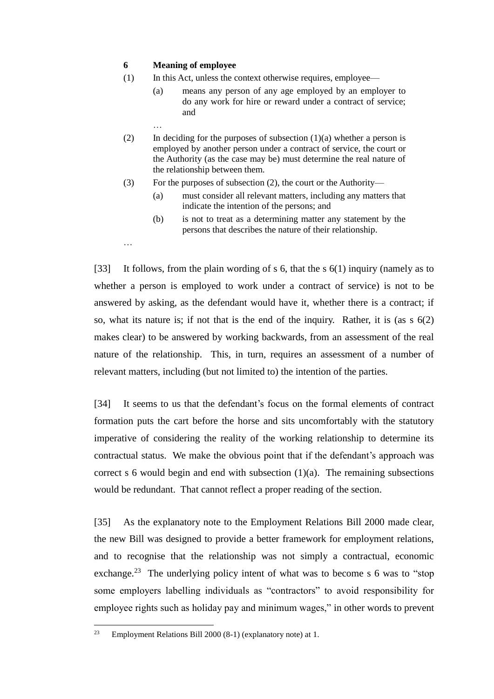#### **6 Meaning of employee**

…

…

- (1) In this Act, unless the context otherwise requires, employee—
	- (a) means any person of any age employed by an employer to do any work for hire or reward under a contract of service; and
- (2) In deciding for the purposes of subsection  $(1)(a)$  whether a person is employed by another person under a contract of service, the court or the Authority (as the case may be) must determine the real nature of the relationship between them.
- (3) For the purposes of subsection (2), the court or the Authority—
	- (a) must consider all relevant matters, including any matters that indicate the intention of the persons; and
	- (b) is not to treat as a determining matter any statement by the persons that describes the nature of their relationship.

[33] It follows, from the plain wording of s 6, that the s 6(1) inquiry (namely as to whether a person is employed to work under a contract of service) is not to be answered by asking, as the defendant would have it, whether there is a contract; if so, what its nature is; if not that is the end of the inquiry. Rather, it is (as s 6(2) makes clear) to be answered by working backwards, from an assessment of the real nature of the relationship. This, in turn, requires an assessment of a number of relevant matters, including (but not limited to) the intention of the parties.

[34] It seems to us that the defendant's focus on the formal elements of contract formation puts the cart before the horse and sits uncomfortably with the statutory imperative of considering the reality of the working relationship to determine its contractual status. We make the obvious point that if the defendant's approach was correct s 6 would begin and end with subsection  $(1)(a)$ . The remaining subsections would be redundant. That cannot reflect a proper reading of the section.

[35] As the explanatory note to the Employment Relations Bill 2000 made clear, the new Bill was designed to provide a better framework for employment relations, and to recognise that the relationship was not simply a contractual, economic exchange.<sup>23</sup> The underlying policy intent of what was to become s 6 was to "stop some employers labelling individuals as "contractors" to avoid responsibility for employee rights such as holiday pay and minimum wages," in other words to prevent

 $23$ Employment Relations Bill 2000 (8-1) (explanatory note) at 1.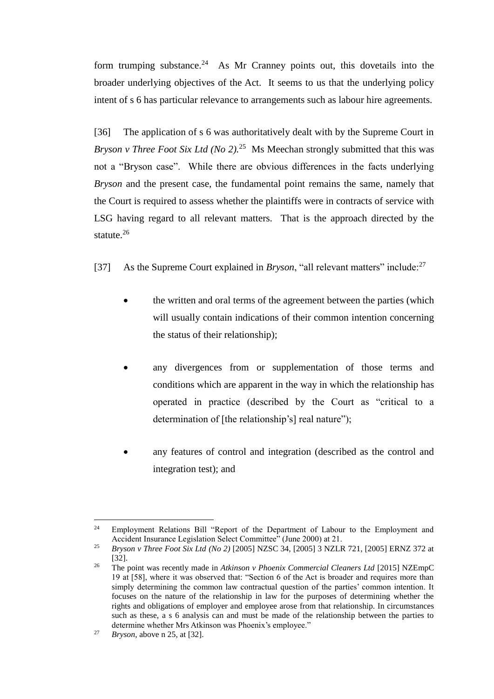form trumping substance.<sup>24</sup> As Mr Cranney points out, this dovetails into the broader underlying objectives of the Act. It seems to us that the underlying policy intent of s 6 has particular relevance to arrangements such as labour hire agreements.

[36] The application of s 6 was authoritatively dealt with by the Supreme Court in *Bryson v Three Foot Six Ltd (No 2)*.<sup>25</sup> Ms Meechan strongly submitted that this was not a "Bryson case". While there are obvious differences in the facts underlying *Bryson* and the present case, the fundamental point remains the same, namely that the Court is required to assess whether the plaintiffs were in contracts of service with LSG having regard to all relevant matters. That is the approach directed by the statute.<sup>26</sup>

[37] As the Supreme Court explained in *Bryson*, "all relevant matters" include:<sup>27</sup>

- the written and oral terms of the agreement between the parties (which will usually contain indications of their common intention concerning the status of their relationship);
- any divergences from or supplementation of those terms and conditions which are apparent in the way in which the relationship has operated in practice (described by the Court as "critical to a determination of [the relationship's] real nature");
- any features of control and integration (described as the control and integration test); and

 $\overline{a}$ <sup>24</sup> Employment Relations Bill "Report of the Department of Labour to the Employment and Accident Insurance Legislation Select Committee" (June 2000) at 21.

<sup>25</sup> *Bryson v Three Foot Six Ltd (No 2)* [2005] NZSC 34, [2005] 3 NZLR 721, [2005] ERNZ 372 at [32].

<sup>&</sup>lt;sup>26</sup> The point was recently made in *Atkinson v Phoenix Commercial Cleaners Ltd* [2015] NZEmpC 19 at [58], where it was observed that: "Section 6 of the Act is broader and requires more than simply determining the common law contractual question of the parties' common intention. It focuses on the nature of the relationship in law for the purposes of determining whether the rights and obligations of employer and employee arose from that relationship. In circumstances such as these, a s 6 analysis can and must be made of the relationship between the parties to determine whether Mrs Atkinson was Phoenix's employee."

<sup>27</sup> *Bryson*, above n 25, at [32].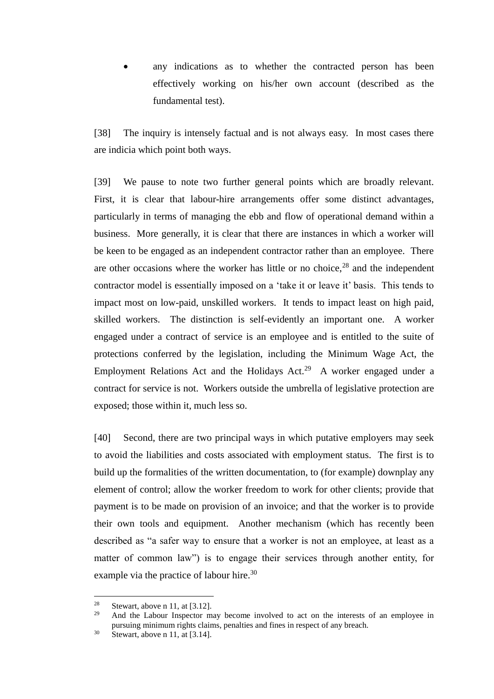any indications as to whether the contracted person has been effectively working on his/her own account (described as the fundamental test).

[38] The inquiry is intensely factual and is not always easy. In most cases there are indicia which point both ways.

[39] We pause to note two further general points which are broadly relevant. First, it is clear that labour-hire arrangements offer some distinct advantages, particularly in terms of managing the ebb and flow of operational demand within a business.More generally, it is clear that there are instances in which a worker will be keen to be engaged as an independent contractor rather than an employee. There are other occasions where the worker has little or no choice,  $2<sup>8</sup>$  and the independent contractor model is essentially imposed on a 'take it or leave it' basis. This tends to impact most on low-paid, unskilled workers. It tends to impact least on high paid, skilled workers. The distinction is self-evidently an important one. A worker engaged under a contract of service is an employee and is entitled to the suite of protections conferred by the legislation, including the Minimum Wage Act, the Employment Relations Act and the Holidays  $Act.^{29}$  A worker engaged under a contract for service is not. Workers outside the umbrella of legislative protection are exposed; those within it, much less so.

[40] Second, there are two principal ways in which putative employers may seek to avoid the liabilities and costs associated with employment status. The first is to build up the formalities of the written documentation, to (for example) downplay any element of control; allow the worker freedom to work for other clients; provide that payment is to be made on provision of an invoice; and that the worker is to provide their own tools and equipment. Another mechanism (which has recently been described as "a safer way to ensure that a worker is not an employee, at least as a matter of common law") is to engage their services through another entity, for example via the practice of labour hire.<sup>30</sup>

<sup>28</sup> <sup>28</sup> Stewart, above n 11, at [3.12].

And the Labour Inspector may become involved to act on the interests of an employee in pursuing minimum rights claims, penalties and fines in respect of any breach.

 $30$  Stewart, above n 11, at [3.14].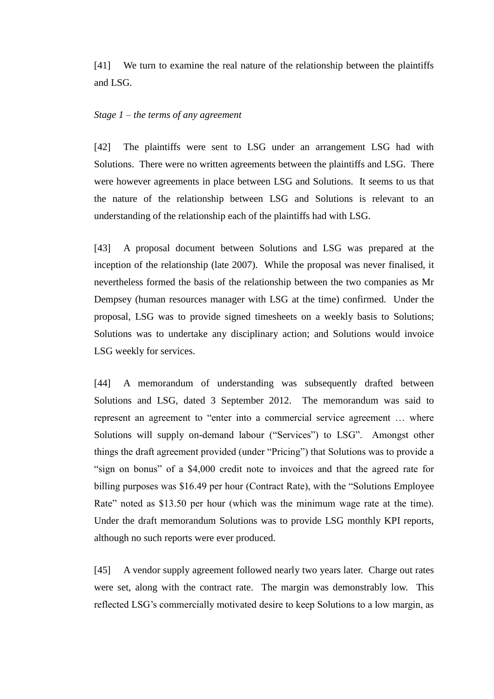[41] We turn to examine the real nature of the relationship between the plaintiffs and LSG.

#### *Stage 1 – the terms of any agreement*

[42] The plaintiffs were sent to LSG under an arrangement LSG had with Solutions. There were no written agreements between the plaintiffs and LSG. There were however agreements in place between LSG and Solutions. It seems to us that the nature of the relationship between LSG and Solutions is relevant to an understanding of the relationship each of the plaintiffs had with LSG.

[43] A proposal document between Solutions and LSG was prepared at the inception of the relationship (late 2007).While the proposal was never finalised, it nevertheless formed the basis of the relationship between the two companies as Mr Dempsey (human resources manager with LSG at the time) confirmed. Under the proposal, LSG was to provide signed timesheets on a weekly basis to Solutions; Solutions was to undertake any disciplinary action; and Solutions would invoice LSG weekly for services.

[44] A memorandum of understanding was subsequently drafted between Solutions and LSG, dated 3 September 2012. The memorandum was said to represent an agreement to "enter into a commercial service agreement … where Solutions will supply on-demand labour ("Services") to LSG". Amongst other things the draft agreement provided (under "Pricing") that Solutions was to provide a "sign on bonus" of a \$4,000 credit note to invoices and that the agreed rate for billing purposes was \$16.49 per hour (Contract Rate), with the "Solutions Employee Rate" noted as \$13.50 per hour (which was the minimum wage rate at the time). Under the draft memorandum Solutions was to provide LSG monthly KPI reports, although no such reports were ever produced.

[45] A vendor supply agreement followed nearly two years later. Charge out rates were set, along with the contract rate. The margin was demonstrably low. This reflected LSG's commercially motivated desire to keep Solutions to a low margin, as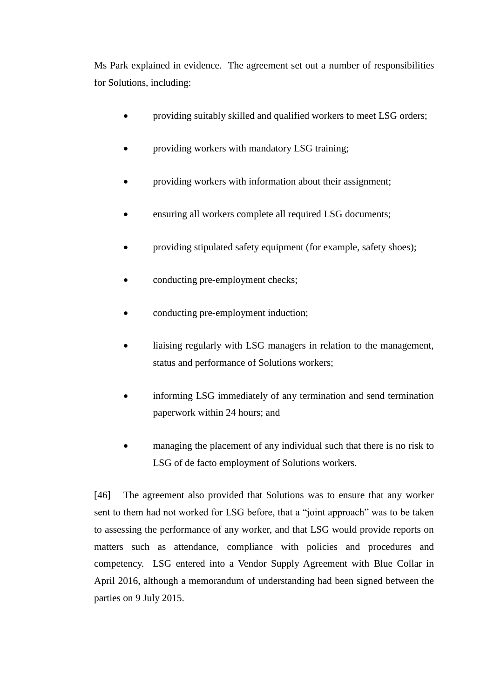Ms Park explained in evidence. The agreement set out a number of responsibilities for Solutions, including:

- providing suitably skilled and qualified workers to meet LSG orders;
- providing workers with mandatory LSG training;
- providing workers with information about their assignment;
- ensuring all workers complete all required LSG documents;
- providing stipulated safety equipment (for example, safety shoes);
- conducting pre-employment checks;
- conducting pre-employment induction;
- liaising regularly with LSG managers in relation to the management, status and performance of Solutions workers;
- informing LSG immediately of any termination and send termination paperwork within 24 hours; and
- managing the placement of any individual such that there is no risk to LSG of de facto employment of Solutions workers.

[46] The agreement also provided that Solutions was to ensure that any worker sent to them had not worked for LSG before, that a "joint approach" was to be taken to assessing the performance of any worker, and that LSG would provide reports on matters such as attendance, compliance with policies and procedures and competency. LSG entered into a Vendor Supply Agreement with Blue Collar in April 2016, although a memorandum of understanding had been signed between the parties on 9 July 2015.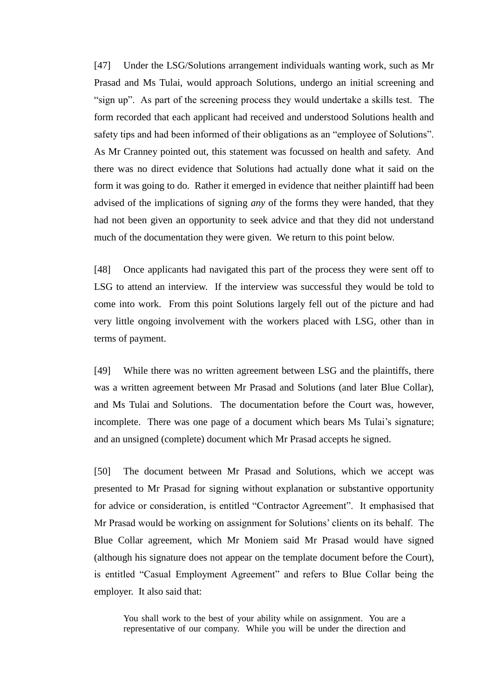[47] Under the LSG/Solutions arrangement individuals wanting work, such as Mr Prasad and Ms Tulai, would approach Solutions, undergo an initial screening and "sign up". As part of the screening process they would undertake a skills test.The form recorded that each applicant had received and understood Solutions health and safety tips and had been informed of their obligations as an "employee of Solutions". As Mr Cranney pointed out, this statement was focussed on health and safety. And there was no direct evidence that Solutions had actually done what it said on the form it was going to do. Rather it emerged in evidence that neither plaintiff had been advised of the implications of signing *any* of the forms they were handed, that they had not been given an opportunity to seek advice and that they did not understand much of the documentation they were given. We return to this point below.

[48] Once applicants had navigated this part of the process they were sent off to LSG to attend an interview. If the interview was successful they would be told to come into work. From this point Solutions largely fell out of the picture and had very little ongoing involvement with the workers placed with LSG, other than in terms of payment.

[49] While there was no written agreement between LSG and the plaintiffs, there was a written agreement between Mr Prasad and Solutions (and later Blue Collar), and Ms Tulai and Solutions. The documentation before the Court was, however, incomplete. There was one page of a document which bears Ms Tulai's signature; and an unsigned (complete) document which Mr Prasad accepts he signed.

[50] The document between Mr Prasad and Solutions, which we accept was presented to Mr Prasad for signing without explanation or substantive opportunity for advice or consideration, is entitled "Contractor Agreement". It emphasised that Mr Prasad would be working on assignment for Solutions' clients on its behalf. The Blue Collar agreement, which Mr Moniem said Mr Prasad would have signed (although his signature does not appear on the template document before the Court), is entitled "Casual Employment Agreement" and refers to Blue Collar being the employer. It also said that:

You shall work to the best of your ability while on assignment. You are a representative of our company. While you will be under the direction and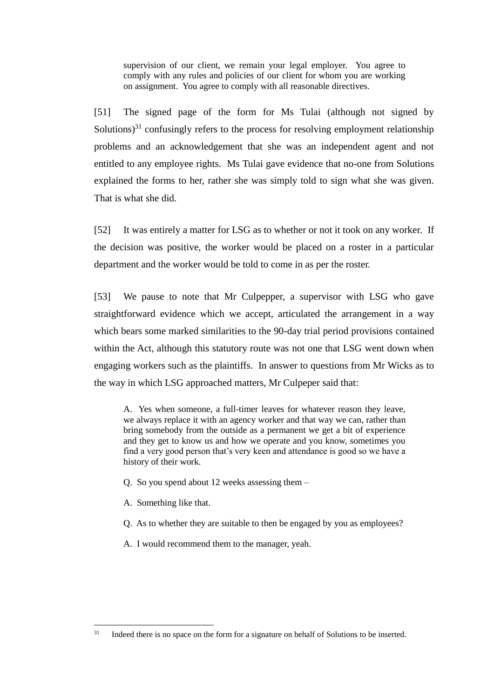supervision of our client, we remain your legal employer. You agree to comply with any rules and policies of our client for whom you are working on assignment. You agree to comply with all reasonable directives.

[51] The signed page of the form for Ms Tulai (although not signed by Solutions) $31$  confusingly refers to the process for resolving employment relationship problems and an acknowledgement that she was an independent agent and not entitled to any employee rights. Ms Tulai gave evidence that no-one from Solutions explained the forms to her, rather she was simply told to sign what she was given. That is what she did.

[52] It was entirely a matter for LSG as to whether or not it took on any worker. If the decision was positive, the worker would be placed on a roster in a particular department and the worker would be told to come in as per the roster.

[53] We pause to note that Mr Culpepper, a supervisor with LSG who gave straightforward evidence which we accept, articulated the arrangement in a way which bears some marked similarities to the 90-day trial period provisions contained within the Act, although this statutory route was not one that LSG went down when engaging workers such as the plaintiffs. In answer to questions from Mr Wicks as to the way in which LSG approached matters, Mr Culpeper said that:

A. Yes when someone, a full-timer leaves for whatever reason they leave, we always replace it with an agency worker and that way we can, rather than bring somebody from the outside as a permanent we get a bit of experience and they get to know us and how we operate and you know, sometimes you find a very good person that's very keen and attendance is good so we have a history of their work.

- Q. So you spend about 12 weeks assessing them –
- A. Something like that.
- Q. As to whether they are suitable to then be engaged by you as employees?
- A. I would recommend them to the manager, yeah.

 $\overline{31}$ Indeed there is no space on the form for a signature on behalf of Solutions to be inserted.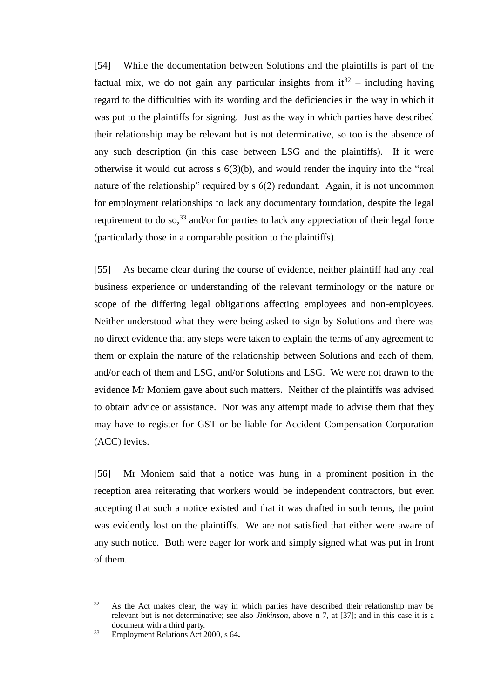[54] While the documentation between Solutions and the plaintiffs is part of the factual mix, we do not gain any particular insights from  $it^{32}$  – including having regard to the difficulties with its wording and the deficiencies in the way in which it was put to the plaintiffs for signing. Just as the way in which parties have described their relationship may be relevant but is not determinative, so too is the absence of any such description (in this case between LSG and the plaintiffs). If it were otherwise it would cut across s 6(3)(b), and would render the inquiry into the "real nature of the relationship" required by s 6(2) redundant. Again, it is not uncommon for employment relationships to lack any documentary foundation, despite the legal requirement to do so,  $33$  and/or for parties to lack any appreciation of their legal force (particularly those in a comparable position to the plaintiffs).

[55] As became clear during the course of evidence, neither plaintiff had any real business experience or understanding of the relevant terminology or the nature or scope of the differing legal obligations affecting employees and non-employees. Neither understood what they were being asked to sign by Solutions and there was no direct evidence that any steps were taken to explain the terms of any agreement to them or explain the nature of the relationship between Solutions and each of them, and/or each of them and LSG, and/or Solutions and LSG. We were not drawn to the evidence Mr Moniem gave about such matters. Neither of the plaintiffs was advised to obtain advice or assistance. Nor was any attempt made to advise them that they may have to register for GST or be liable for Accident Compensation Corporation (ACC) levies.

[56] Mr Moniem said that a notice was hung in a prominent position in the reception area reiterating that workers would be independent contractors, but even accepting that such a notice existed and that it was drafted in such terms, the point was evidently lost on the plaintiffs. We are not satisfied that either were aware of any such notice. Both were eager for work and simply signed what was put in front of them.

 $32$ As the Act makes clear, the way in which parties have described their relationship may be relevant but is not determinative; see also *Jinkinson*, above n 7, at [37]; and in this case it is a document with a third party.

<sup>33</sup> Employment Relations Act 2000, s 64**.**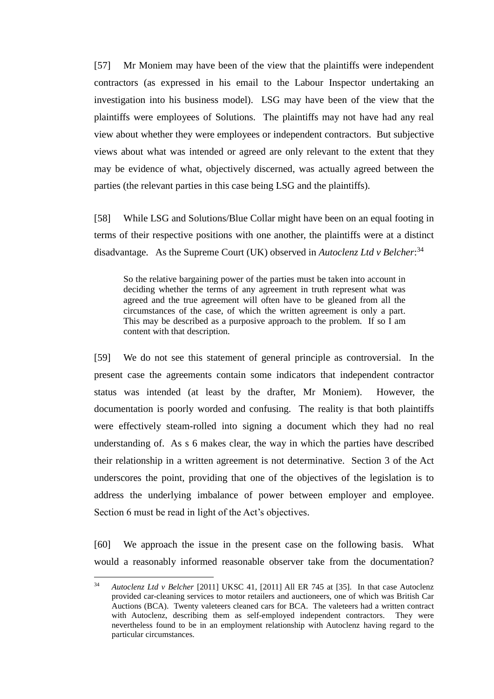[57] Mr Moniem may have been of the view that the plaintiffs were independent contractors (as expressed in his email to the Labour Inspector undertaking an investigation into his business model). LSG may have been of the view that the plaintiffs were employees of Solutions. The plaintiffs may not have had any real view about whether they were employees or independent contractors. But subjective views about what was intended or agreed are only relevant to the extent that they may be evidence of what, objectively discerned, was actually agreed between the parties (the relevant parties in this case being LSG and the plaintiffs).

[58] While LSG and Solutions/Blue Collar might have been on an equal footing in terms of their respective positions with one another, the plaintiffs were at a distinct disadvantage. As the Supreme Court (UK) observed in *Autoclenz Ltd v Belcher*: 34

So the relative bargaining power of the parties must be taken into account in deciding whether the terms of any agreement in truth represent what was agreed and the true agreement will often have to be gleaned from all the circumstances of the case, of which the written agreement is only a part. This may be described as a purposive approach to the problem. If so I am content with that description.

[59] We do not see this statement of general principle as controversial. In the present case the agreements contain some indicators that independent contractor status was intended (at least by the drafter, Mr Moniem). However, the documentation is poorly worded and confusing. The reality is that both plaintiffs were effectively steam-rolled into signing a document which they had no real understanding of. As s 6 makes clear, the way in which the parties have described their relationship in a written agreement is not determinative. Section 3 of the Act underscores the point, providing that one of the objectives of the legislation is to address the underlying imbalance of power between employer and employee. Section 6 must be read in light of the Act's objectives.

[60] We approach the issue in the present case on the following basis. What would a reasonably informed reasonable observer take from the documentation?

 $34$ <sup>34</sup> *Autoclenz Ltd v Belcher* [2011] UKSC 41, [2011] All ER 745 at [35]. In that case Autoclenz provided car-cleaning services to motor retailers and auctioneers, one of which was British Car Auctions (BCA). Twenty valeteers cleaned cars for BCA. The valeteers had a written contract with Autoclenz, describing them as self-employed independent contractors. They were nevertheless found to be in an employment relationship with Autoclenz having regard to the particular circumstances.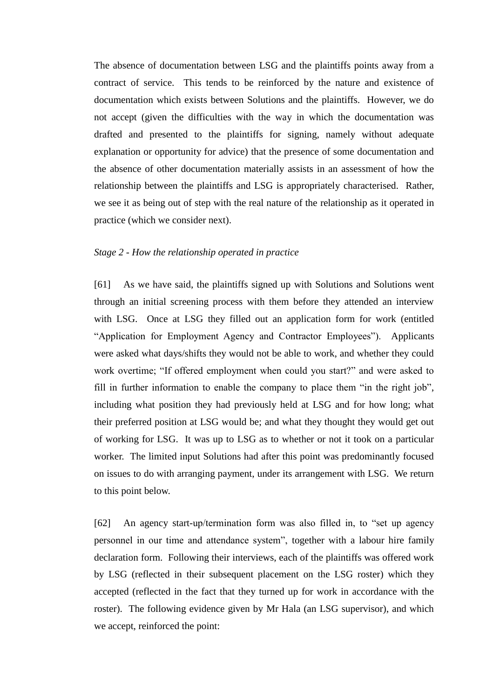The absence of documentation between LSG and the plaintiffs points away from a contract of service. This tends to be reinforced by the nature and existence of documentation which exists between Solutions and the plaintiffs. However, we do not accept (given the difficulties with the way in which the documentation was drafted and presented to the plaintiffs for signing, namely without adequate explanation or opportunity for advice) that the presence of some documentation and the absence of other documentation materially assists in an assessment of how the relationship between the plaintiffs and LSG is appropriately characterised. Rather, we see it as being out of step with the real nature of the relationship as it operated in practice (which we consider next).

#### *Stage 2 - How the relationship operated in practice*

[61] As we have said, the plaintiffs signed up with Solutions and Solutions went through an initial screening process with them before they attended an interview with LSG. Once at LSG they filled out an application form for work (entitled "Application for Employment Agency and Contractor Employees"). Applicants were asked what days/shifts they would not be able to work, and whether they could work overtime; "If offered employment when could you start?" and were asked to fill in further information to enable the company to place them "in the right job", including what position they had previously held at LSG and for how long; what their preferred position at LSG would be; and what they thought they would get out of working for LSG. It was up to LSG as to whether or not it took on a particular worker. The limited input Solutions had after this point was predominantly focused on issues to do with arranging payment, under its arrangement with LSG. We return to this point below.

[62] An agency start-up/termination form was also filled in, to "set up agency personnel in our time and attendance system", together with a labour hire family declaration form. Following their interviews, each of the plaintiffs was offered work by LSG (reflected in their subsequent placement on the LSG roster) which they accepted (reflected in the fact that they turned up for work in accordance with the roster). The following evidence given by Mr Hala (an LSG supervisor), and which we accept, reinforced the point: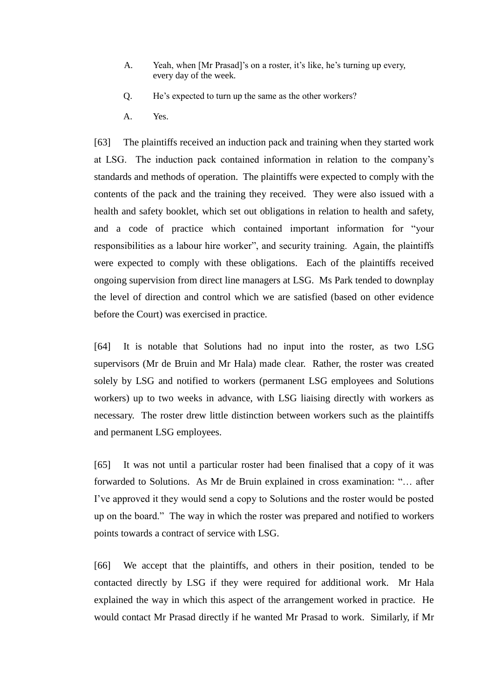- A. Yeah, when [Mr Prasad]'s on a roster, it's like, he's turning up every, every day of the week.
- Q. He's expected to turn up the same as the other workers?
- A. Yes.

[63] The plaintiffs received an induction pack and training when they started work at LSG. The induction pack contained information in relation to the company's standards and methods of operation. The plaintiffs were expected to comply with the contents of the pack and the training they received. They were also issued with a health and safety booklet, which set out obligations in relation to health and safety, and a code of practice which contained important information for "your responsibilities as a labour hire worker", and security training. Again, the plaintiffs were expected to comply with these obligations. Each of the plaintiffs received ongoing supervision from direct line managers at LSG. Ms Park tended to downplay the level of direction and control which we are satisfied (based on other evidence before the Court) was exercised in practice.

[64] It is notable that Solutions had no input into the roster, as two LSG supervisors (Mr de Bruin and Mr Hala) made clear. Rather, the roster was created solely by LSG and notified to workers (permanent LSG employees and Solutions workers) up to two weeks in advance, with LSG liaising directly with workers as necessary. The roster drew little distinction between workers such as the plaintiffs and permanent LSG employees.

[65] It was not until a particular roster had been finalised that a copy of it was forwarded to Solutions. As Mr de Bruin explained in cross examination: "… after I've approved it they would send a copy to Solutions and the roster would be posted up on the board."The way in which the roster was prepared and notified to workers points towards a contract of service with LSG.

[66] We accept that the plaintiffs, and others in their position, tended to be contacted directly by LSG if they were required for additional work. Mr Hala explained the way in which this aspect of the arrangement worked in practice. He would contact Mr Prasad directly if he wanted Mr Prasad to work. Similarly, if Mr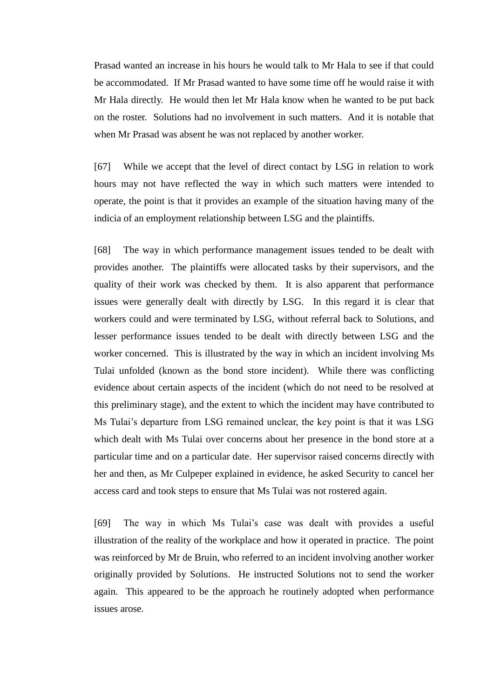Prasad wanted an increase in his hours he would talk to Mr Hala to see if that could be accommodated. If Mr Prasad wanted to have some time off he would raise it with Mr Hala directly. He would then let Mr Hala know when he wanted to be put back on the roster. Solutions had no involvement in such matters. And it is notable that when Mr Prasad was absent he was not replaced by another worker.

[67] While we accept that the level of direct contact by LSG in relation to work hours may not have reflected the way in which such matters were intended to operate, the point is that it provides an example of the situation having many of the indicia of an employment relationship between LSG and the plaintiffs.

[68] The way in which performance management issues tended to be dealt with provides another. The plaintiffs were allocated tasks by their supervisors, and the quality of their work was checked by them. It is also apparent that performance issues were generally dealt with directly by LSG. In this regard it is clear that workers could and were terminated by LSG, without referral back to Solutions, and lesser performance issues tended to be dealt with directly between LSG and the worker concerned.This is illustrated by the way in which an incident involving Ms Tulai unfolded (known as the bond store incident). While there was conflicting evidence about certain aspects of the incident (which do not need to be resolved at this preliminary stage), and the extent to which the incident may have contributed to Ms Tulai's departure from LSG remained unclear, the key point is that it was LSG which dealt with Ms Tulai over concerns about her presence in the bond store at a particular time and on a particular date. Her supervisor raised concerns directly with her and then, as Mr Culpeper explained in evidence, he asked Security to cancel her access card and took steps to ensure that Ms Tulai was not rostered again.

[69] The way in which Ms Tulai's case was dealt with provides a useful illustration of the reality of the workplace and how it operated in practice. The point was reinforced by Mr de Bruin, who referred to an incident involving another worker originally provided by Solutions. He instructed Solutions not to send the worker again. This appeared to be the approach he routinely adopted when performance issues arose.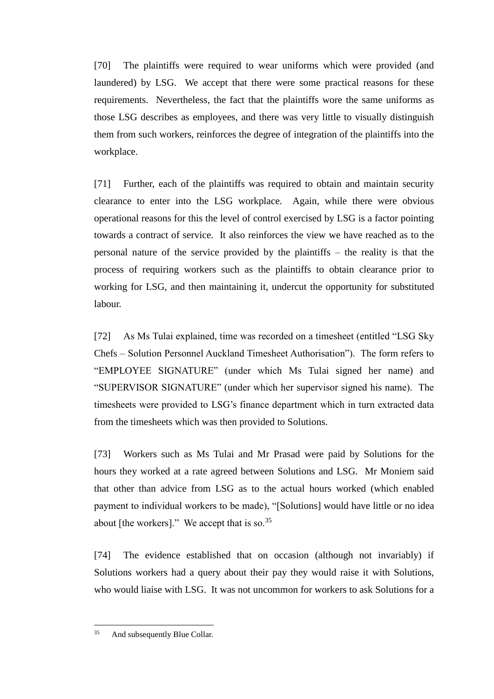[70] The plaintiffs were required to wear uniforms which were provided (and laundered) by LSG. We accept that there were some practical reasons for these requirements. Nevertheless, the fact that the plaintiffs wore the same uniforms as those LSG describes as employees, and there was very little to visually distinguish them from such workers, reinforces the degree of integration of the plaintiffs into the workplace.

[71] Further, each of the plaintiffs was required to obtain and maintain security clearance to enter into the LSG workplace. Again, while there were obvious operational reasons for this the level of control exercised by LSG is a factor pointing towards a contract of service. It also reinforces the view we have reached as to the personal nature of the service provided by the plaintiffs – the reality is that the process of requiring workers such as the plaintiffs to obtain clearance prior to working for LSG, and then maintaining it, undercut the opportunity for substituted labour.

[72] As Ms Tulai explained, time was recorded on a timesheet (entitled "LSG Sky Chefs – Solution Personnel Auckland Timesheet Authorisation"). The form refers to "EMPLOYEE SIGNATURE" (under which Ms Tulai signed her name) and "SUPERVISOR SIGNATURE" (under which her supervisor signed his name). The timesheets were provided to LSG's finance department which in turn extracted data from the timesheets which was then provided to Solutions.

[73] Workers such as Ms Tulai and Mr Prasad were paid by Solutions for the hours they worked at a rate agreed between Solutions and LSG. Mr Moniem said that other than advice from LSG as to the actual hours worked (which enabled payment to individual workers to be made), "[Solutions] would have little or no idea about [the workers]." We accept that is so.<sup>35</sup>

[74] The evidence established that on occasion (although not invariably) if Solutions workers had a query about their pay they would raise it with Solutions, who would liaise with LSG. It was not uncommon for workers to ask Solutions for a

 $35$ And subsequently Blue Collar.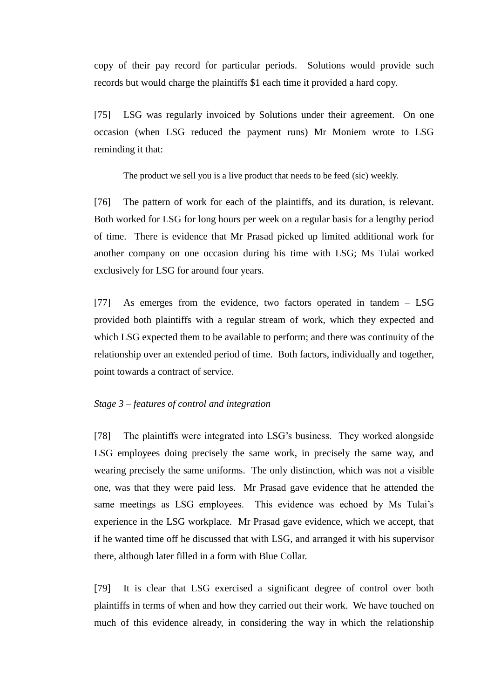copy of their pay record for particular periods. Solutions would provide such records but would charge the plaintiffs \$1 each time it provided a hard copy.

[75] LSG was regularly invoiced by Solutions under their agreement. On one occasion (when LSG reduced the payment runs) Mr Moniem wrote to LSG reminding it that:

The product we sell you is a live product that needs to be feed (sic) weekly.

[76] The pattern of work for each of the plaintiffs, and its duration, is relevant. Both worked for LSG for long hours per week on a regular basis for a lengthy period of time. There is evidence that Mr Prasad picked up limited additional work for another company on one occasion during his time with LSG; Ms Tulai worked exclusively for LSG for around four years.

[77] As emerges from the evidence, two factors operated in tandem – LSG provided both plaintiffs with a regular stream of work, which they expected and which LSG expected them to be available to perform; and there was continuity of the relationship over an extended period of time. Both factors, individually and together, point towards a contract of service.

## *Stage 3 – features of control and integration*

[78] The plaintiffs were integrated into LSG's business. They worked alongside LSG employees doing precisely the same work, in precisely the same way, and wearing precisely the same uniforms. The only distinction, which was not a visible one, was that they were paid less. Mr Prasad gave evidence that he attended the same meetings as LSG employees. This evidence was echoed by Ms Tulai's experience in the LSG workplace. Mr Prasad gave evidence, which we accept, that if he wanted time off he discussed that with LSG, and arranged it with his supervisor there, although later filled in a form with Blue Collar.

[79] It is clear that LSG exercised a significant degree of control over both plaintiffs in terms of when and how they carried out their work. We have touched on much of this evidence already, in considering the way in which the relationship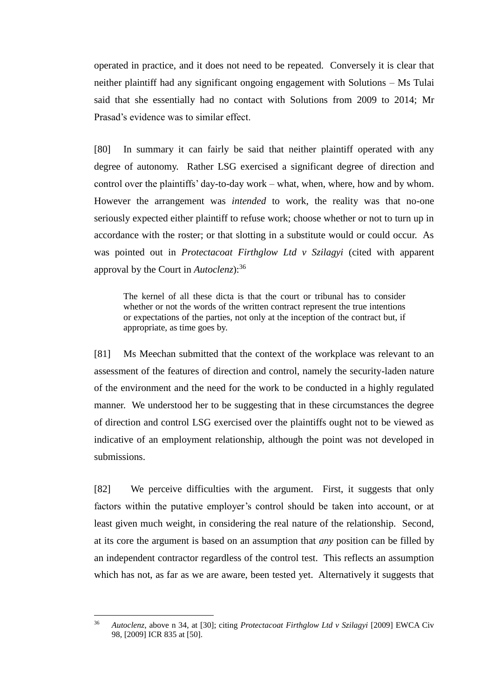operated in practice, and it does not need to be repeated.Conversely it is clear that neither plaintiff had any significant ongoing engagement with Solutions – Ms Tulai said that she essentially had no contact with Solutions from 2009 to 2014; Mr Prasad's evidence was to similar effect.

[80] In summary it can fairly be said that neither plaintiff operated with any degree of autonomy. Rather LSG exercised a significant degree of direction and control over the plaintiffs' day-to-day work – what, when, where, how and by whom. However the arrangement was *intended* to work, the reality was that no-one seriously expected either plaintiff to refuse work; choose whether or not to turn up in accordance with the roster; or that slotting in a substitute would or could occur. As was pointed out in *Protectacoat Firthglow Ltd v Szilagyi* (cited with apparent approval by the Court in *Autoclenz*):<sup>36</sup>

The kernel of all these dicta is that the court or tribunal has to consider whether or not the words of the written contract represent the true intentions or expectations of the parties, not only at the inception of the contract but, if appropriate, as time goes by.

[81] Ms Meechan submitted that the context of the workplace was relevant to an assessment of the features of direction and control, namely the security-laden nature of the environment and the need for the work to be conducted in a highly regulated manner. We understood her to be suggesting that in these circumstances the degree of direction and control LSG exercised over the plaintiffs ought not to be viewed as indicative of an employment relationship, although the point was not developed in submissions.

[82] We perceive difficulties with the argument. First, it suggests that only factors within the putative employer's control should be taken into account, or at least given much weight, in considering the real nature of the relationship. Second, at its core the argument is based on an assumption that *any* position can be filled by an independent contractor regardless of the control test. This reflects an assumption which has not, as far as we are aware, been tested yet. Alternatively it suggests that

 $\overline{a}$ 

<sup>36</sup> *Autoclenz*, above n 34, at [30]; citing *Protectacoat Firthglow Ltd v Szilagyi* [2009] EWCA Civ 98, [2009] ICR 835 at [50].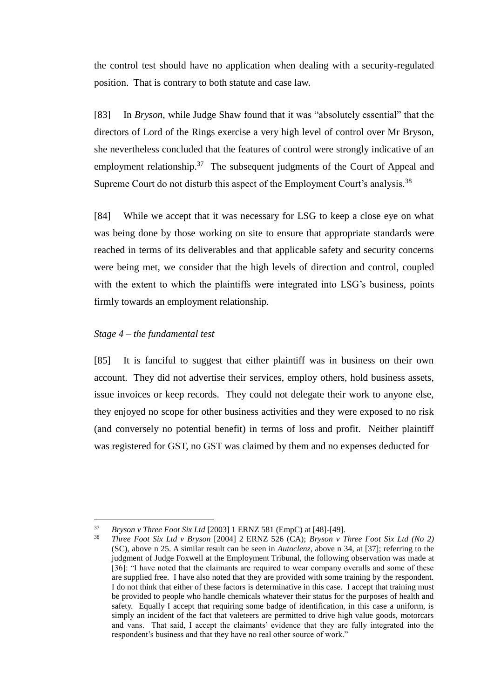the control test should have no application when dealing with a security-regulated position. That is contrary to both statute and case law.

[83] In *Bryson*, while Judge Shaw found that it was "absolutely essential" that the directors of Lord of the Rings exercise a very high level of control over Mr Bryson, she nevertheless concluded that the features of control were strongly indicative of an employment relationship.<sup>37</sup> The subsequent judgments of the Court of Appeal and Supreme Court do not disturb this aspect of the Employment Court's analysis.<sup>38</sup>

[84] While we accept that it was necessary for LSG to keep a close eye on what was being done by those working on site to ensure that appropriate standards were reached in terms of its deliverables and that applicable safety and security concerns were being met, we consider that the high levels of direction and control, coupled with the extent to which the plaintiffs were integrated into LSG's business, points firmly towards an employment relationship.

#### *Stage 4 – the fundamental test*

 $\overline{a}$ 

[85] It is fanciful to suggest that either plaintiff was in business on their own account. They did not advertise their services, employ others, hold business assets, issue invoices or keep records. They could not delegate their work to anyone else, they enjoyed no scope for other business activities and they were exposed to no risk (and conversely no potential benefit) in terms of loss and profit. Neither plaintiff was registered for GST, no GST was claimed by them and no expenses deducted for

<sup>37</sup> *Bryson v Three Foot Six Ltd* [2003] 1 ERNZ 581 (EmpC) at [48]-[49].

<sup>38</sup> *Three Foot Six Ltd v Bryson* [2004] 2 ERNZ 526 (CA); *Bryson v Three Foot Six Ltd (No 2)* (SC), above n 25. A similar result can be seen in *Autoclenz*, above n 34, at [37]; referring to the judgment of Judge Foxwell at the Employment Tribunal, the following observation was made at [36]: "I have noted that the claimants are required to wear company overalls and some of these are supplied free. I have also noted that they are provided with some training by the respondent. I do not think that either of these factors is determinative in this case. I accept that training must be provided to people who handle chemicals whatever their status for the purposes of health and safety. Equally I accept that requiring some badge of identification, in this case a uniform, is simply an incident of the fact that valeteers are permitted to drive high value goods, motorcars and vans. That said, I accept the claimants' evidence that they are fully integrated into the respondent's business and that they have no real other source of work."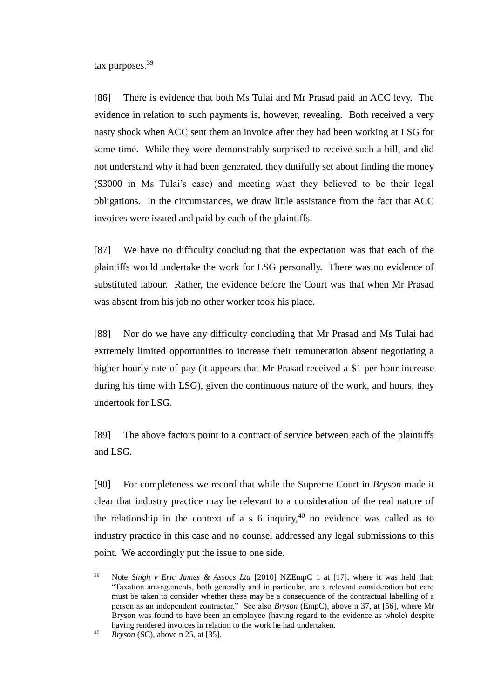tax purposes.<sup>39</sup>

[86] There is evidence that both Ms Tulai and Mr Prasad paid an ACC levy. The evidence in relation to such payments is, however, revealing. Both received a very nasty shock when ACC sent them an invoice after they had been working at LSG for some time. While they were demonstrably surprised to receive such a bill, and did not understand why it had been generated, they dutifully set about finding the money (\$3000 in Ms Tulai's case) and meeting what they believed to be their legal obligations. In the circumstances, we draw little assistance from the fact that ACC invoices were issued and paid by each of the plaintiffs.

[87] We have no difficulty concluding that the expectation was that each of the plaintiffs would undertake the work for LSG personally. There was no evidence of substituted labour. Rather, the evidence before the Court was that when Mr Prasad was absent from his job no other worker took his place.

[88] Nor do we have any difficulty concluding that Mr Prasad and Ms Tulai had extremely limited opportunities to increase their remuneration absent negotiating a higher hourly rate of pay (it appears that Mr Prasad received a \$1 per hour increase during his time with LSG), given the continuous nature of the work, and hours, they undertook for LSG.

[89] The above factors point to a contract of service between each of the plaintiffs and LSG.

[90] For completeness we record that while the Supreme Court in *Bryson* made it clear that industry practice may be relevant to a consideration of the real nature of the relationship in the context of a s 6 inquiry,  $40$  no evidence was called as to industry practice in this case and no counsel addressed any legal submissions to this point. We accordingly put the issue to one side.

<sup>39</sup> <sup>39</sup> Note *Singh v Eric James & Assocs Ltd* [2010] NZEmpC 1 at [17], where it was held that: "Taxation arrangements, both generally and in particular, are a relevant consideration but care must be taken to consider whether these may be a consequence of the contractual labelling of a person as an independent contractor." See also *Bryson* (EmpC), above n 37, at [56], where Mr Bryson was found to have been an employee (having regard to the evidence as whole) despite having rendered invoices in relation to the work he had undertaken.

<sup>40</sup> *Bryson* (SC), above n 25, at [35].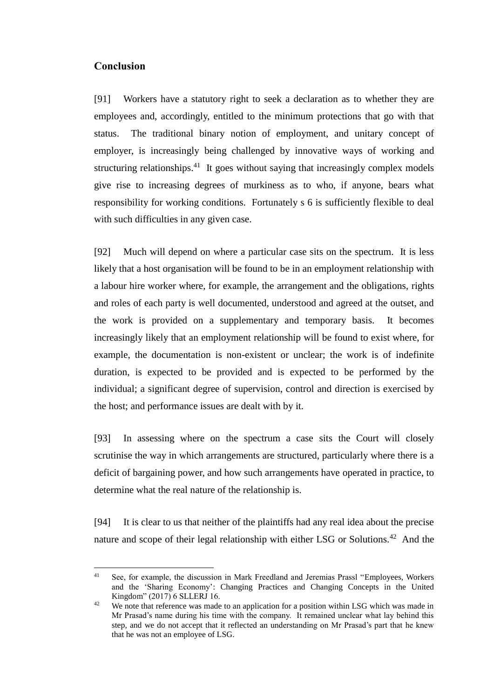## **Conclusion**

[91] Workers have a statutory right to seek a declaration as to whether they are employees and, accordingly, entitled to the minimum protections that go with that status. The traditional binary notion of employment, and unitary concept of employer, is increasingly being challenged by innovative ways of working and structuring relationships.<sup>41</sup> It goes without saying that increasingly complex models give rise to increasing degrees of murkiness as to who, if anyone, bears what responsibility for working conditions. Fortunately s 6 is sufficiently flexible to deal with such difficulties in any given case.

[92] Much will depend on where a particular case sits on the spectrum. It is less likely that a host organisation will be found to be in an employment relationship with a labour hire worker where, for example, the arrangement and the obligations, rights and roles of each party is well documented, understood and agreed at the outset, and the work is provided on a supplementary and temporary basis. It becomes increasingly likely that an employment relationship will be found to exist where, for example, the documentation is non-existent or unclear; the work is of indefinite duration, is expected to be provided and is expected to be performed by the individual; a significant degree of supervision, control and direction is exercised by the host; and performance issues are dealt with by it.

[93] In assessing where on the spectrum a case sits the Court will closely scrutinise the way in which arrangements are structured, particularly where there is a deficit of bargaining power, and how such arrangements have operated in practice, to determine what the real nature of the relationship is.

[94] It is clear to us that neither of the plaintiffs had any real idea about the precise nature and scope of their legal relationship with either LSG or Solutions.<sup>42</sup> And the

 $41$ <sup>41</sup> See, for example, the discussion in Mark Freedland and Jeremias Prassl "Employees, Workers and the 'Sharing Economy': Changing Practices and Changing Concepts in the United Kingdom" (2017) 6 SLLERJ 16.

<sup>&</sup>lt;sup>42</sup> We note that reference was made to an application for a position within LSG which was made in Mr Prasad's name during his time with the company. It remained unclear what lay behind this step, and we do not accept that it reflected an understanding on Mr Prasad's part that he knew that he was not an employee of LSG.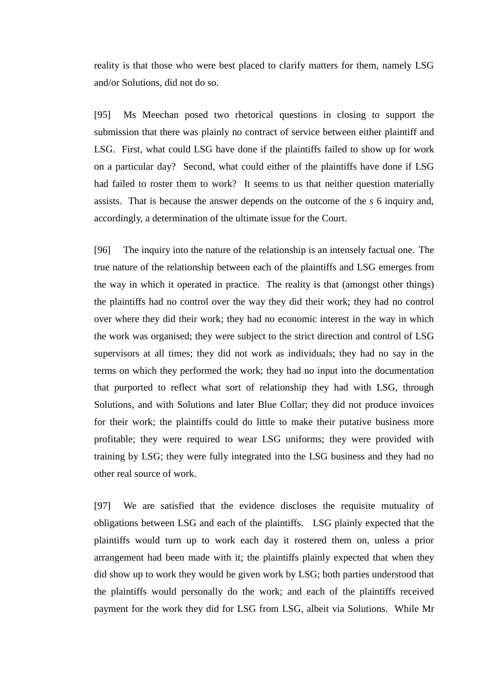reality is that those who were best placed to clarify matters for them, namely LSG and/or Solutions, did not do so.

[95] Ms Meechan posed two rhetorical questions in closing to support the submission that there was plainly no contract of service between either plaintiff and LSG. First, what could LSG have done if the plaintiffs failed to show up for work on a particular day? Second, what could either of the plaintiffs have done if LSG had failed to roster them to work? It seems to us that neither question materially assists. That is because the answer depends on the outcome of the s 6 inquiry and, accordingly, a determination of the ultimate issue for the Court.

[96] The inquiry into the nature of the relationship is an intensely factual one. The true nature of the relationship between each of the plaintiffs and LSG emerges from the way in which it operated in practice. The reality is that (amongst other things) the plaintiffs had no control over the way they did their work; they had no control over where they did their work; they had no economic interest in the way in which the work was organised; they were subject to the strict direction and control of LSG supervisors at all times; they did not work as individuals; they had no say in the terms on which they performed the work; they had no input into the documentation that purported to reflect what sort of relationship they had with LSG, through Solutions, and with Solutions and later Blue Collar; they did not produce invoices for their work; the plaintiffs could do little to make their putative business more profitable; they were required to wear LSG uniforms; they were provided with training by LSG; they were fully integrated into the LSG business and they had no other real source of work.

[97] We are satisfied that the evidence discloses the requisite mutuality of obligations between LSG and each of the plaintiffs. LSG plainly expected that the plaintiffs would turn up to work each day it rostered them on, unless a prior arrangement had been made with it; the plaintiffs plainly expected that when they did show up to work they would be given work by LSG; both parties understood that the plaintiffs would personally do the work; and each of the plaintiffs received payment for the work they did for LSG from LSG, albeit via Solutions. While Mr